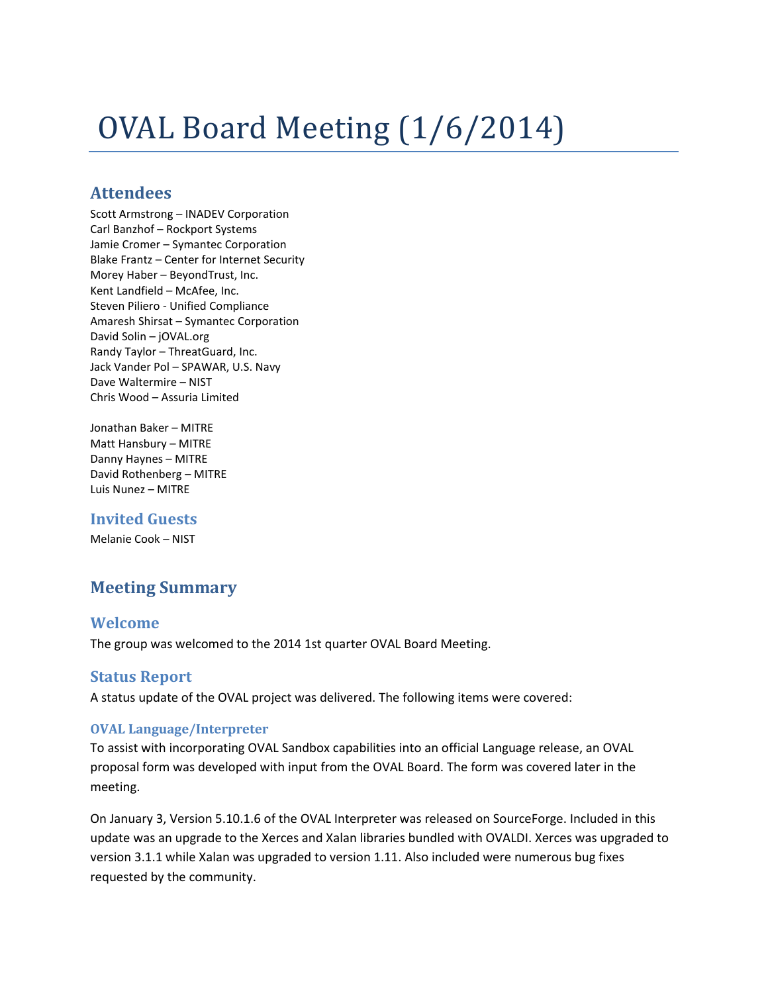# OVAL Board Meeting (1/6/2014)

## **Attendees**

Scott Armstrong – INADEV Corporation Carl Banzhof – Rockport Systems Jamie Cromer – Symantec Corporation Blake Frantz – Center for Internet Security Morey Haber – BeyondTrust, Inc. Kent Landfield – McAfee, Inc. Steven Piliero - Unified Compliance Amaresh Shirsat – Symantec Corporation David Solin – jOVAL.org Randy Taylor – ThreatGuard, Inc. Jack Vander Pol – SPAWAR, U.S. Navy Dave Waltermire – NIST Chris Wood – Assuria Limited

Jonathan Baker – MITRE Matt Hansbury – MITRE Danny Haynes – MITRE David Rothenberg – MITRE Luis Nunez – MITRE

## **Invited Guests**

Melanie Cook – NIST

# **Meeting Summary**

## **Welcome**

The group was welcomed to the 2014 1st quarter OVAL Board Meeting.

## **Status Report**

A status update of the OVAL project was delivered. The following items were covered:

### **OVAL Language/Interpreter**

To assist with incorporating OVAL Sandbox capabilities into an official Language release, an OVAL proposal form was developed with input from the OVAL Board. The form was covered later in the meeting.

On January 3, Version 5.10.1.6 of the OVAL Interpreter was released on SourceForge. Included in this update was an upgrade to the Xerces and Xalan libraries bundled with OVALDI. Xerces was upgraded to version 3.1.1 while Xalan was upgraded to version 1.11. Also included were numerous bug fixes requested by the community.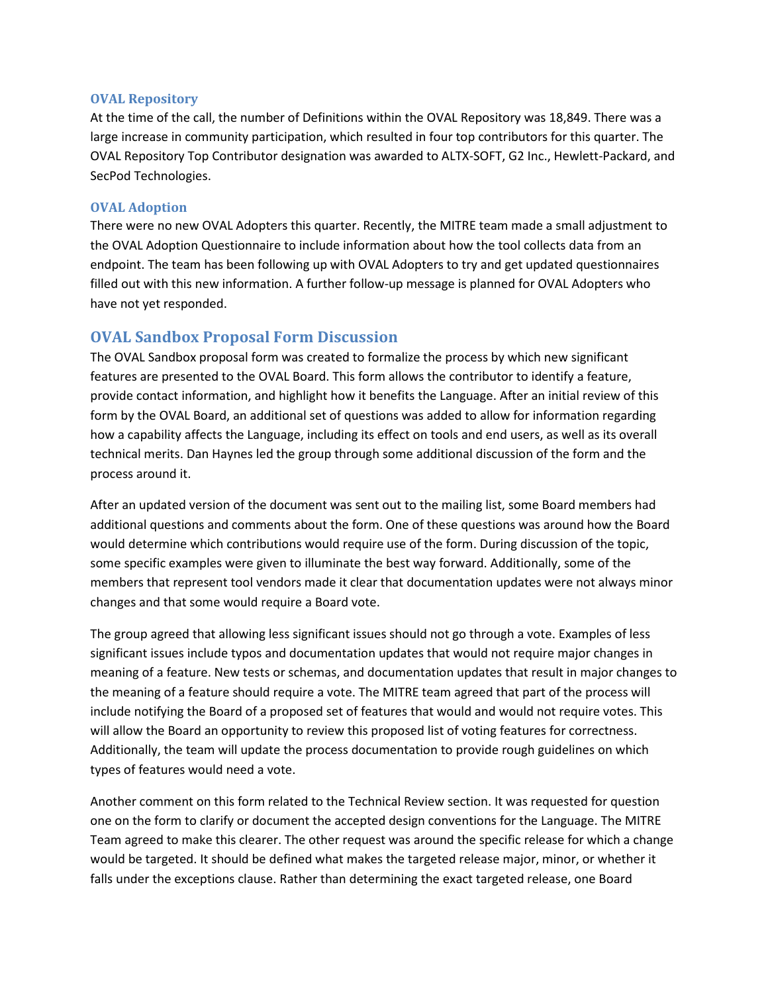#### **OVAL Repository**

At the time of the call, the number of Definitions within the OVAL Repository was 18,849. There was a large increase in community participation, which resulted in four top contributors for this quarter. The OVAL Repository Top Contributor designation was awarded to ALTX-SOFT, G2 Inc., Hewlett-Packard, and SecPod Technologies.

#### **OVAL Adoption**

There were no new OVAL Adopters this quarter. Recently, the MITRE team made a small adjustment to the OVAL Adoption Questionnaire to include information about how the tool collects data from an endpoint. The team has been following up with OVAL Adopters to try and get updated questionnaires filled out with this new information. A further follow-up message is planned for OVAL Adopters who have not yet responded.

## **OVAL Sandbox Proposal Form Discussion**

The OVAL Sandbox proposal form was created to formalize the process by which new significant features are presented to the OVAL Board. This form allows the contributor to identify a feature, provide contact information, and highlight how it benefits the Language. After an initial review of this form by the OVAL Board, an additional set of questions was added to allow for information regarding how a capability affects the Language, including its effect on tools and end users, as well as its overall technical merits. Dan Haynes led the group through some additional discussion of the form and the process around it.

After an updated version of the document was sent out to the mailing list, some Board members had additional questions and comments about the form. One of these questions was around how the Board would determine which contributions would require use of the form. During discussion of the topic, some specific examples were given to illuminate the best way forward. Additionally, some of the members that represent tool vendors made it clear that documentation updates were not always minor changes and that some would require a Board vote.

The group agreed that allowing less significant issues should not go through a vote. Examples of less significant issues include typos and documentation updates that would not require major changes in meaning of a feature. New tests or schemas, and documentation updates that result in major changes to the meaning of a feature should require a vote. The MITRE team agreed that part of the process will include notifying the Board of a proposed set of features that would and would not require votes. This will allow the Board an opportunity to review this proposed list of voting features for correctness. Additionally, the team will update the process documentation to provide rough guidelines on which types of features would need a vote.

Another comment on this form related to the Technical Review section. It was requested for question one on the form to clarify or document the accepted design conventions for the Language. The MITRE Team agreed to make this clearer. The other request was around the specific release for which a change would be targeted. It should be defined what makes the targeted release major, minor, or whether it falls under the exceptions clause. Rather than determining the exact targeted release, one Board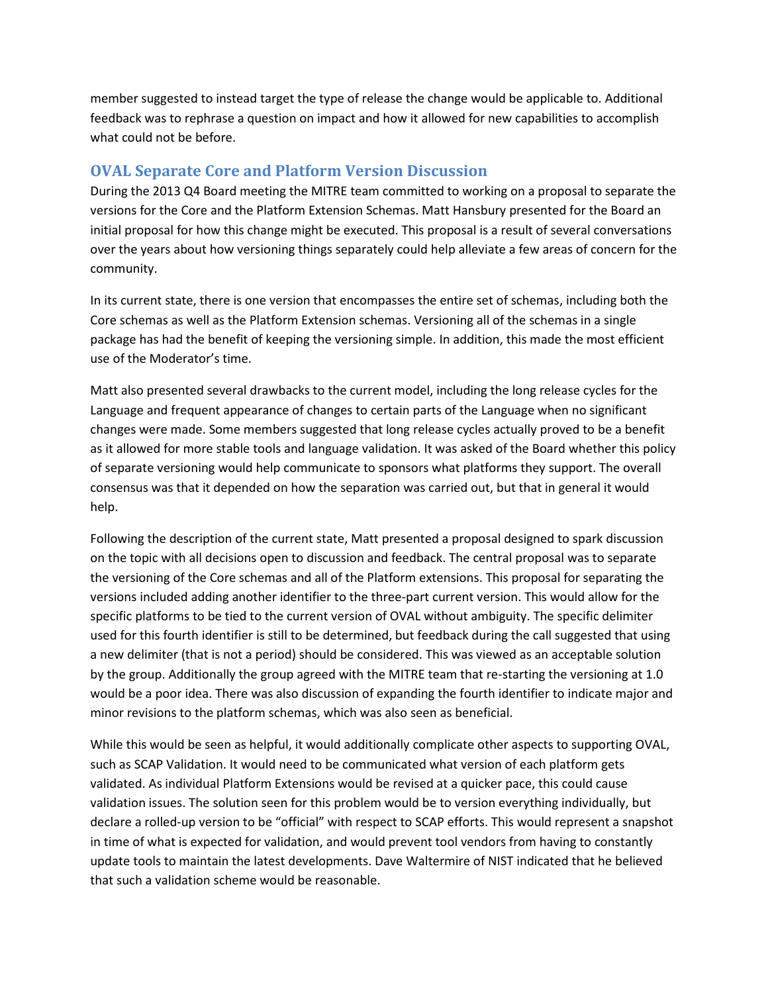member suggested to instead target the type of release the change would be applicable to. Additional feedback was to rephrase a question on impact and how it allowed for new capabilities to accomplish what could not be before.

## **OVAL Separate Core and Platform Version Discussion**

During the 2013 Q4 Board meeting the MITRE team committed to working on a proposal to separate the versions for the Core and the Platform Extension Schemas. Matt Hansbury presented for the Board an initial proposal for how this change might be executed. This proposal is a result of several conversations over the years about how versioning things separately could help alleviate a few areas of concern for the community.

In its current state, there is one version that encompasses the entire set of schemas, including both the Core schemas as well as the Platform Extension schemas. Versioning all of the schemas in a single package has had the benefit of keeping the versioning simple. In addition, this made the most efficient use of the Moderator's time.

Matt also presented several drawbacks to the current model, including the long release cycles for the Language and frequent appearance of changes to certain parts of the Language when no significant changes were made. Some members suggested that long release cycles actually proved to be a benefit as it allowed for more stable tools and language validation. It was asked of the Board whether this policy of separate versioning would help communicate to sponsors what platforms they support. The overall consensus was that it depended on how the separation was carried out, but that in general it would help.

Following the description of the current state, Matt presented a proposal designed to spark discussion on the topic with all decisions open to discussion and feedback. The central proposal was to separate the versioning of the Core schemas and all of the Platform extensions. This proposal for separating the versions included adding another identifier to the three-part current version. This would allow for the specific platforms to be tied to the current version of OVAL without ambiguity. The specific delimiter used for this fourth identifier is still to be determined, but feedback during the call suggested that using a new delimiter (that is not a period) should be considered. This was viewed as an acceptable solution by the group. Additionally the group agreed with the MITRE team that re-starting the versioning at 1.0 would be a poor idea. There was also discussion of expanding the fourth identifier to indicate major and minor revisions to the platform schemas, which was also seen as beneficial.

While this would be seen as helpful, it would additionally complicate other aspects to supporting OVAL, such as SCAP Validation. It would need to be communicated what version of each platform gets validated. As individual Platform Extensions would be revised at a quicker pace, this could cause validation issues. The solution seen for this problem would be to version everything individually, but declare a rolled-up version to be "official" with respect to SCAP efforts. This would represent a snapshot in time of what is expected for validation, and would prevent tool vendors from having to constantly update tools to maintain the latest developments. Dave Waltermire of NIST indicated that he believed that such a validation scheme would be reasonable.